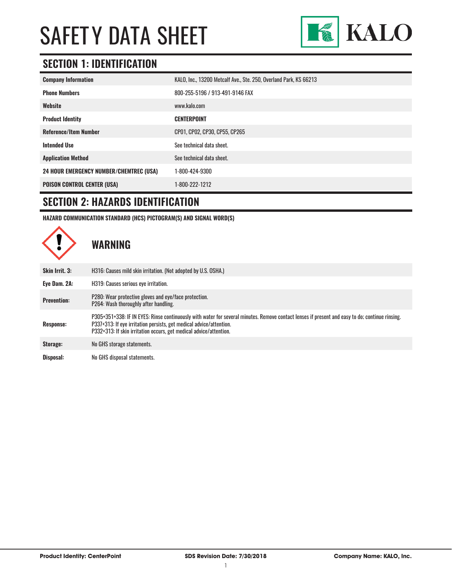

### **SECTION 1: IDENTIFICATION**

| <b>Company Information</b>                     | KALO, Inc., 13200 Metcalf Ave., Ste. 250, Overland Park, KS 66213 |
|------------------------------------------------|-------------------------------------------------------------------|
| <b>Phone Numbers</b>                           | 800-255-5196 / 913-491-9146 FAX                                   |
| Website                                        | www.kalo.com                                                      |
| <b>Product Identity</b>                        | <b>CENTERPOINT</b>                                                |
| <b>Reference/Item Number</b>                   | CP01, CP02, CP30, CP55, CP265                                     |
| <b>Intended Use</b>                            | See technical data sheet.                                         |
| <b>Application Method</b>                      | See technical data sheet.                                         |
| <b>24 HOUR EMERGENCY NUMBER/CHEMTREC (USA)</b> | 1-800-424-9300                                                    |
| <b>POISON CONTROL CENTER (USA)</b>             | 1-800-222-1212                                                    |

### **SECTION 2: HAZARDS IDENTIFICATION**

**HAZARD COMMUNICATION STANDARD (HCS) PICTOGRAM(S) AND SIGNAL WORD(S)**

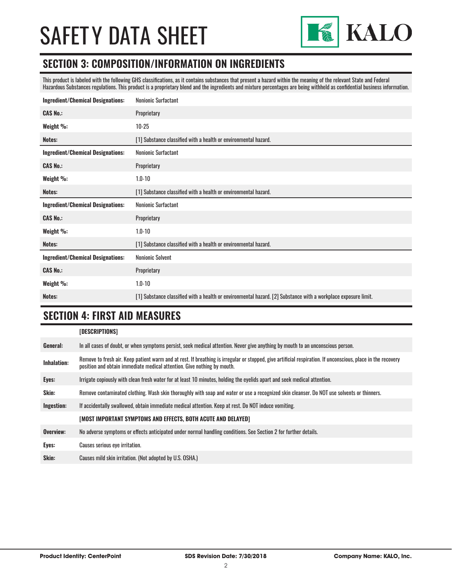

### **SECTION 3: COMPOSITION/INFORMATION ON INGREDIENTS**

This product is labeled with the following GHS classifications, as it contains substances that present a hazard within the meaning of the relevant State and Federal Hazardous Substances regulations. This product is a proprietary blend and the ingredients and mixture percentages are being withheld as confidential business information.

| <b>Ingredient/Chemical Designations:</b> | Nonionic Surfactant                                             |  |  |
|------------------------------------------|-----------------------------------------------------------------|--|--|
| <b>CAS No.:</b>                          | Proprietary                                                     |  |  |
| Weight %:                                | $10 - 25$                                                       |  |  |
| Notes:                                   | [1] Substance classified with a health or environmental hazard. |  |  |
| <b>Ingredient/Chemical Designations:</b> | <b>Nonionic Surfactant</b>                                      |  |  |
| <b>CAS No.:</b>                          | Proprietary                                                     |  |  |
| Weight %:                                | $1.0 - 10$                                                      |  |  |
| Notes:                                   | [1] Substance classified with a health or environmental hazard. |  |  |
|                                          |                                                                 |  |  |
| <b>Ingredient/Chemical Designations:</b> | Nonionic Surfactant                                             |  |  |
| <b>CAS No.:</b>                          | Proprietary                                                     |  |  |
| Weight %:                                | $1.0 - 10$                                                      |  |  |
| Notes:                                   | [1] Substance classified with a health or environmental hazard. |  |  |
| <b>Ingredient/Chemical Designations:</b> | <b>Nonionic Solvent</b>                                         |  |  |
| <b>CAS No.:</b>                          | Proprietary                                                     |  |  |
| Weight %:                                | $1.0 - 10$                                                      |  |  |

### **SECTION 4: FIRST AID MEASURES**

### **[DESCRIPTIONS]**

| General:     | In all cases of doubt, or when symptoms persist, seek medical attention. Never give anything by mouth to an unconscious person.                                                                                                         |
|--------------|-----------------------------------------------------------------------------------------------------------------------------------------------------------------------------------------------------------------------------------------|
| Inhalation:  | Remove to fresh air. Keep patient warm and at rest. If breathing is irregular or stopped, give artificial respiration. If unconscious, place in the recovery<br>position and obtain immediate medical attention. Give nothing by mouth. |
| Eyes:        | Irrigate copiously with clean fresh water for at least 10 minutes, holding the eyelids apart and seek medical attention.                                                                                                                |
| <b>Skin:</b> | Remove contaminated clothing. Wash skin thoroughly with soap and water or use a recognized skin cleanser. Do NOT use solvents or thinners.                                                                                              |
| Ingestion:   | If accidentally swallowed, obtain immediate medical attention. Keep at rest, Do NOT induce vomiting.                                                                                                                                    |
|              | [MOST IMPORTANT SYMPTOMS AND EFFECTS, BOTH ACUTE AND DELAYED]                                                                                                                                                                           |
| Overview:    | No adverse symptoms or effects anticipated under normal handling conditions. See Section 2 for further details.                                                                                                                         |
| Eyes:        | Causes serious eye irritation.                                                                                                                                                                                                          |
| Skin:        | Causes mild skin irritation. (Not adopted by U.S. OSHA.)                                                                                                                                                                                |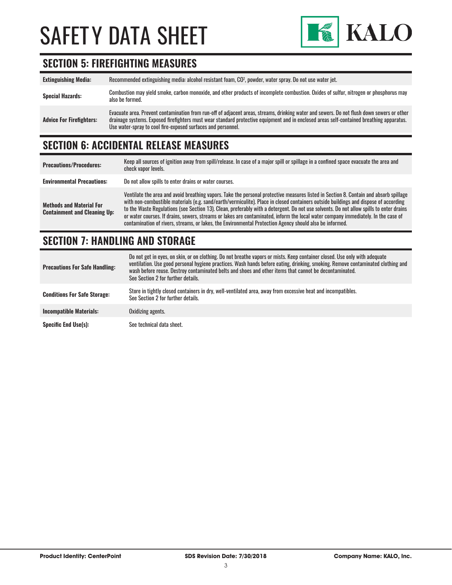

### **SECTION 5: FIREFIGHTING MEASURES**

| <b>Extinguishing Media:</b>     | Recommended extinguishing media: alcohol resistant foam, CO <sup>2</sup> , powder, water spray. Do not use water jet.                                                                                                                                                                                                                                  |
|---------------------------------|--------------------------------------------------------------------------------------------------------------------------------------------------------------------------------------------------------------------------------------------------------------------------------------------------------------------------------------------------------|
| <b>Special Hazards:</b>         | Combustion may yield smoke, carbon monoxide, and other products of incomplete combustion. Oxides of sulfur, nitrogen or phosphorus may<br>also be formed.                                                                                                                                                                                              |
| <b>Advice For Firefighters:</b> | Evacuate area. Prevent contamination from run-off of adjacent areas, streams, drinking water and sewers. Do not flush down sewers or other<br>drainage systems. Exposed firefighters must wear standard protective equipment and in enclosed areas self-contained breathing apparatus.<br>Use water-spray to cool fire-exposed surfaces and personnel. |

## **SECTION 6: ACCIDENTAL RELEASE MEASURES**

| <b>Precautions/Procedures:</b>                                         | Keep all sources of ignition away from spill/release. In case of a major spill or spillage in a confined space evacuate the area and<br>check vapor levels.                                                                                                                                                                                                                                                                                                                                                                                                                                                                                                               |
|------------------------------------------------------------------------|---------------------------------------------------------------------------------------------------------------------------------------------------------------------------------------------------------------------------------------------------------------------------------------------------------------------------------------------------------------------------------------------------------------------------------------------------------------------------------------------------------------------------------------------------------------------------------------------------------------------------------------------------------------------------|
| <b>Environmental Precautions:</b>                                      | Do not allow spills to enter drains or water courses.                                                                                                                                                                                                                                                                                                                                                                                                                                                                                                                                                                                                                     |
| <b>Methods and Material For</b><br><b>Containment and Cleaning Up:</b> | Ventilate the area and avoid breathing vapors. Take the personal protective measures listed in Section 8. Contain and absorb spillage<br>with non-combustible materials (e.g. sand/earth/vermiculite). Place in closed containers outside buildings and dispose of according<br>to the Waste Regulations (see Section 13). Clean, preferably with a detergent. Do not use solvents. Do not allow spills to enter drains<br>or water courses. If drains, sewers, streams or lakes are contaminated, inform the local water company immediately. In the case of<br>contamination of rivers, streams, or lakes, the Environmental Protection Agency should also be informed. |

### **SECTION 7: HANDLING AND STORAGE**

| <b>Precautions For Safe Handling:</b> | Do not get in eyes, on skin, or on clothing. Do not breathe vapors or mists. Keep container closed. Use only with adequate<br>ventilation. Use good personal hygiene practices. Wash hands before eating, drinking, smoking. Remove contaminated clothing and<br>wash before reuse. Destroy contaminated belts and shoes and other items that cannot be decontaminated.<br>See Section 2 for further details. |
|---------------------------------------|---------------------------------------------------------------------------------------------------------------------------------------------------------------------------------------------------------------------------------------------------------------------------------------------------------------------------------------------------------------------------------------------------------------|
| <b>Conditions For Safe Storage:</b>   | Store in tightly closed containers in dry, well-ventilated area, away from excessive heat and incompatibles.<br>See Section 2 for further details.                                                                                                                                                                                                                                                            |
| <b>Incompatible Materials:</b>        | Oxidizing agents.                                                                                                                                                                                                                                                                                                                                                                                             |
| <b>Specific End Use(s):</b>           | See technical data sheet.                                                                                                                                                                                                                                                                                                                                                                                     |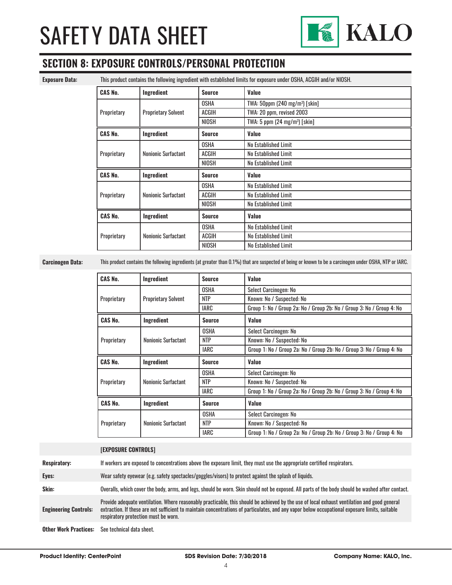

### **SECTION 8: EXPOSURE CONTROLS/PERSONAL PROTECTION**

**Exposure Data:** This product contains the following ingredient with established limits for exposure under OSHA, ACGIH and/or NIOSH.

| <b>CAS No.</b> | Ingredient                 | <b>Source</b> | Value                                      |
|----------------|----------------------------|---------------|--------------------------------------------|
|                |                            | OSHA          | TWA: 50ppm (240 mg/m <sup>3</sup> ) [skin] |
| Proprietary    | <b>Proprietary Solvent</b> | ACGIH         | TWA: 20 ppm, revised 2003                  |
|                |                            | NIOSH         | TWA: $5$ ppm $(24 \text{ mg/m}^3)$ [skin]  |
| <b>CAS No.</b> | Ingredient                 | <b>Source</b> | Value                                      |
|                |                            | <b>OSHA</b>   | No Established Limit                       |
| Proprietary    | Nonionic Surfactant        | ACGIH         | No Established Limit                       |
|                |                            | <b>NIOSH</b>  | No Established Limit                       |
| <b>CAS No.</b> |                            | <b>Source</b> | <b>Value</b>                               |
|                | Ingredient                 |               |                                            |
|                |                            | <b>OSHA</b>   | No Established Limit                       |
| Proprietary    | Nonionic Surfactant        | <b>ACGIH</b>  | No Established Limit                       |
|                |                            | <b>NIOSH</b>  | No Established Limit                       |
| <b>CAS No.</b> | Ingredient                 | <b>Source</b> | Value                                      |
|                |                            | <b>OSHA</b>   | No Established Limit                       |
| Proprietary    | Nonionic Surfactant        | ACGIH         | No Established Limit                       |

**Carcinogen Data:** This product contains the following ingredients (at greater than 0.1%) that are suspected of being or known to be a carcinogen under OSHA, NTP or IARC.

| <b>CAS No.</b> | Ingredient                 | <b>Source</b> | Value                                                                 |
|----------------|----------------------------|---------------|-----------------------------------------------------------------------|
|                |                            | <b>OSHA</b>   | Select Carcinogen: No                                                 |
| Proprietary    | <b>Proprietary Solvent</b> | <b>NTP</b>    | Known: No / Suspected: No                                             |
|                |                            | IARC          | Group 1: No / Group 2a: No / Group 2b: No / Group 3: No / Group 4: No |
| <b>CAS No.</b> | Ingredient                 | <b>Source</b> | Value                                                                 |
|                |                            | <b>OSHA</b>   | Select Carcinogen: No                                                 |
| Proprietary    | Nonionic Surfactant        | <b>NTP</b>    | Known: No / Suspected: No                                             |
|                |                            | <b>IARC</b>   | Group 1: No / Group 2a: No / Group 2b: No / Group 3: No / Group 4: No |
| <b>CAS No.</b> | Ingredient                 | <b>Source</b> | Value                                                                 |
|                |                            | <b>OSHA</b>   | Select Carcinogen: No                                                 |
| Proprietary    | Nonionic Surfactant        | <b>NTP</b>    | Known: No / Suspected: No                                             |
|                |                            | IARC          | Group 1: No / Group 2a: No / Group 2b: No / Group 3: No / Group 4: No |
|                |                            |               |                                                                       |
| <b>CAS No.</b> | Ingredient                 | <b>Source</b> | Value                                                                 |
|                |                            | <b>OSHA</b>   | Select Carcinogen: No                                                 |
| Proprietary    | <b>Nonionic Surfactant</b> | <b>NTP</b>    | Known: No / Suspected: No                                             |

|                              | <b>[EXPOSURE CONTROLS]</b>                                                                                                                                                                                                                                                                                                             |
|------------------------------|----------------------------------------------------------------------------------------------------------------------------------------------------------------------------------------------------------------------------------------------------------------------------------------------------------------------------------------|
| <b>Respiratory:</b>          | If workers are exposed to concentrations above the exposure limit, they must use the appropriate certified respirators.                                                                                                                                                                                                                |
| Eyes:                        | Wear safety eyewear (e.g. safety spectacles/goggles/visors) to protect against the splash of liquids.                                                                                                                                                                                                                                  |
| Skin:                        | Overalls, which cover the body, arms, and legs, should be worn. Skin should not be exposed. All parts of the body should be washed after contact.                                                                                                                                                                                      |
| <b>Engineering Controls:</b> | Provide adequate ventilation. Where reasonably practicable, this should be achieved by the use of local exhaust ventilation and good general<br>extraction. If these are not sufficient to maintain concentrations of particulates, and any vapor below occupational exposure limits, suitable<br>respiratory protection must be worn. |
| <b>Other Work Practices:</b> | See technical data sheet.                                                                                                                                                                                                                                                                                                              |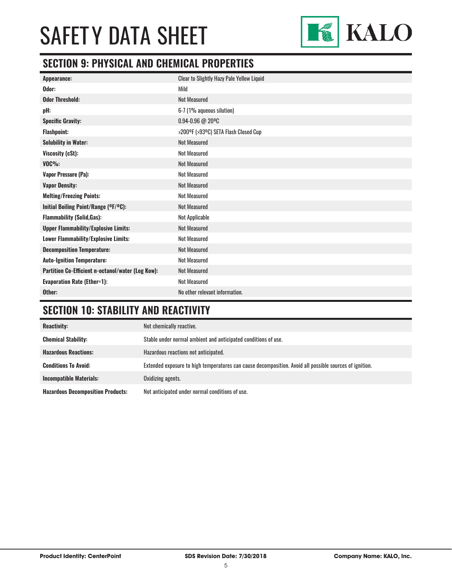

### **SECTION 9: PHYSICAL AND CHEMICAL PROPERTIES**

| <b>Appearance:</b>                                | Clear to Slightly Hazy Pale Yellow Liquid |
|---------------------------------------------------|-------------------------------------------|
| Odor:                                             | Mild                                      |
| <b>Odor Threshold:</b>                            | <b>Not Measured</b>                       |
| pH:                                               | 6-7 (1% aqueous silution)                 |
| <b>Specific Gravity:</b>                          | $0.94 - 0.96 @ 20°C$                      |
| <b>Flashpoint:</b>                                | >200°F (>93°C) SETA Flash Closed Cup      |
| <b>Solubility in Water:</b>                       | <b>Not Measured</b>                       |
| Viscosity (cSt):                                  | <b>Not Measured</b>                       |
| $VOC\%$ :                                         | <b>Not Measured</b>                       |
| <b>Vapor Pressure (Pa):</b>                       | <b>Not Measured</b>                       |
| <b>Vapor Density:</b>                             | <b>Not Measured</b>                       |
| <b>Melting/Freezing Points:</b>                   | <b>Not Measured</b>                       |
| Initial Boiling Point/Range (OF/OC):              | <b>Not Measured</b>                       |
| <b>Flammability (Solid, Gas):</b>                 | Not Applicable                            |
| <b>Upper Flammability/Explosive Limits:</b>       | <b>Not Measured</b>                       |
| Lower Flammability/Explosive Limits:              | <b>Not Measured</b>                       |
| <b>Decomposition Temperature:</b>                 | <b>Not Measured</b>                       |
| <b>Auto-Ignition Temperature:</b>                 | <b>Not Measured</b>                       |
| Partition Co-Efficient n-octanol/water (Log Kow): | <b>Not Measured</b>                       |
| <b>Evaporation Rate (Ether=1):</b>                | <b>Not Measured</b>                       |
| Other:                                            | No other relevant information.            |

## **SECTION 10: STABILITY AND REACTIVITY**

| <b>Reactivity:</b>                       | Not chemically reactive.                                                                                |
|------------------------------------------|---------------------------------------------------------------------------------------------------------|
| <b>Chemical Stability:</b>               | Stable under normal ambient and anticipated conditions of use.                                          |
| <b>Hazardous Reactions:</b>              | Hazardous reactions not anticipated.                                                                    |
| <b>Conditions To Avoid:</b>              | Extended exposure to high temperatures can cause decomposition. Avoid all possible sources of ignition. |
| <b>Incompatible Materials:</b>           | Oxidizing agents.                                                                                       |
| <b>Hazardous Decomposition Products:</b> | Not anticipated under normal conditions of use.                                                         |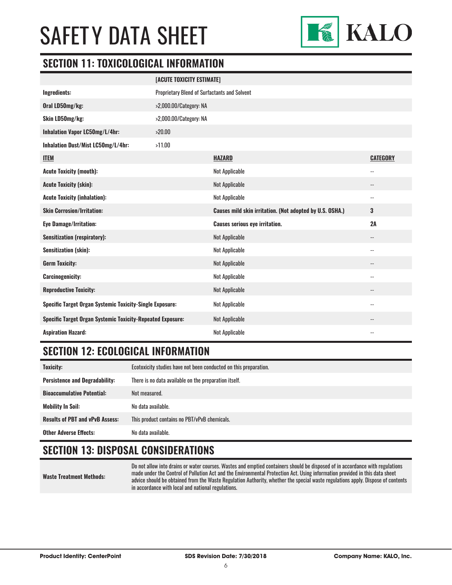

### **SECTION 11: TOXICOLOGICAL INFORMATION**

|                                                                   | [ACUTE TOXICITY ESTIMATE]                    |                                                          |                          |  |
|-------------------------------------------------------------------|----------------------------------------------|----------------------------------------------------------|--------------------------|--|
| Ingredients:                                                      | Proprietary Blend of Surfactants and Solvent |                                                          |                          |  |
| Oral LD50mg/kg:                                                   | >2,000.00/Category: NA                       |                                                          |                          |  |
| Skin LD50mg/kg:<br>>2,000.00/Category: NA                         |                                              |                                                          |                          |  |
| Inhalation Vapor LC50mg/L/4hr:                                    | >20.00                                       |                                                          |                          |  |
| Inhalation Dust/Mist LC50mg/L/4hr:                                | >11.00                                       |                                                          |                          |  |
| <b>ITEM</b>                                                       |                                              | <b>HAZARD</b>                                            | <b>CATEGORY</b>          |  |
| <b>Acute Toxicity (mouth):</b>                                    |                                              | Not Applicable                                           | $-$                      |  |
| <b>Acute Toxicity (skin):</b>                                     |                                              | Not Applicable                                           | $\overline{\phantom{a}}$ |  |
| <b>Acute Toxicity (inhalation):</b>                               |                                              | Not Applicable                                           | $\overline{\phantom{a}}$ |  |
| <b>Skin Corrosion/Irritation:</b>                                 |                                              | Causes mild skin irritation. (Not adopted by U.S. OSHA.) | 3                        |  |
| <b>Eye Damage/Irritation:</b>                                     |                                              | <b>Causes serious eye irritation.</b>                    | 2A                       |  |
| <b>Sensitization (respiratory):</b>                               |                                              | Not Applicable                                           | $\overline{\phantom{a}}$ |  |
| <b>Sensitization (skin):</b>                                      |                                              | Not Applicable                                           | $\overline{\phantom{a}}$ |  |
| <b>Germ Toxicity:</b>                                             |                                              | <b>Not Applicable</b>                                    | $\overline{\phantom{a}}$ |  |
| <b>Carcinogenicity:</b>                                           |                                              | Not Applicable                                           | $-$                      |  |
| <b>Reproductive Toxicity:</b>                                     |                                              | <b>Not Applicable</b>                                    |                          |  |
| <b>Specific Target Organ Systemic Toxicity-Single Exposure:</b>   |                                              | Not Applicable                                           | $- -$                    |  |
| <b>Specific Target Organ Systemic Toxicity-Repeated Exposure:</b> |                                              | <b>Not Applicable</b>                                    |                          |  |
| <b>Aspiration Hazard:</b>                                         |                                              | Not Applicable                                           |                          |  |

### **SECTION 12: ECOLOGICAL INFORMATION**

| <b>Toxicity:</b>                       | Ecotoxicity studies have not been conducted on this preparation. |  |
|----------------------------------------|------------------------------------------------------------------|--|
| <b>Persistence and Degradability:</b>  | There is no data available on the preparation itself.            |  |
| <b>Bioaccumulative Potential:</b>      | Not measured.                                                    |  |
| <b>Mobility In Soil:</b>               | No data available.                                               |  |
| <b>Results of PBT and vPvB Assess:</b> | This product contains no PBT/vPvB chemicals.                     |  |
| <b>Other Adverse Effects:</b>          | No data available.                                               |  |

### **SECTION 13: DISPOSAL CONSIDERATIONS**

**Waste Treatment Methods:**

Do not allow into drains or water courses. Wastes and emptied containers should be disposed of in accordance with regulations made under the Control of Pollution Act and the Environmental Protection Act. Using information provided in this data sheet advice should be obtained from the Waste Regulation Authority, whether the special waste regulations apply. Dispose of contents in accordance with local and national regulations.